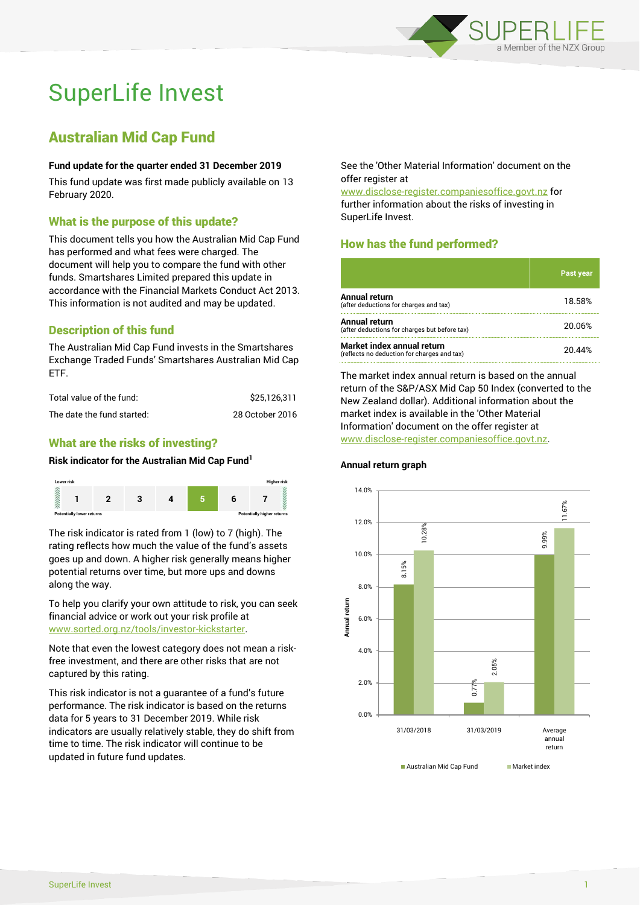

# SuperLife Invest

## Australian Mid Cap Fund

#### **Fund update for the quarter ended 31 December 2019**

This fund update was first made publicly available on 13 February 2020.

### What is the purpose of this update?

This document tells you how the Australian Mid Cap Fund has performed and what fees were charged. The document will help you to compare the fund with other funds. Smartshares Limited prepared this update in accordance with the Financial Markets Conduct Act 2013. This information is not audited and may be updated.

## Description of this fund

The Australian Mid Cap Fund invests in the Smartshares Exchange Traded Funds' Smartshares Australian Mid Cap ETF.

| Total value of the fund:   | \$25.126.311    |
|----------------------------|-----------------|
| The date the fund started: | 28 October 2016 |

## What are the risks of investing?

#### **Risk indicator for the Australian Mid Cap Fund<sup>1</sup>**



The risk indicator is rated from 1 (low) to 7 (high). The rating reflects how much the value of the fund's assets goes up and down. A higher risk generally means higher potential returns over time, but more ups and downs along the way.

To help you clarify your own attitude to risk, you can seek financial advice or work out your risk profile at [www.sorted.org.nz/tools/investor-kickstarter.](http://www.sorted.org.nz/tools/investor-kickstarter)

Note that even the lowest category does not mean a riskfree investment, and there are other risks that are not captured by this rating.

This risk indicator is not a guarantee of a fund's future performance. The risk indicator is based on the returns data for 5 years to 31 December 2019. While risk indicators are usually relatively stable, they do shift from time to time. The risk indicator will continue to be updated in future fund updates.

See the 'Other Material Information' document on the offer register at

www.disclose-register.companiesoffice.govt.nz for further information about the risks of investing in SuperLife Invest.

## How has the fund performed?

|                                                                           | Past year |
|---------------------------------------------------------------------------|-----------|
| <b>Annual return</b><br>(after deductions for charges and tax)            | 18.58%    |
| Annual return<br>(after deductions for charges but before tax)            | 20.06%    |
| Market index annual return<br>(reflects no deduction for charges and tax) | 20 44%    |

The market index annual return is based on the annual return of the S&P/ASX Mid Cap 50 Index (converted to the New Zealand dollar). Additional information about the market index is available in the 'Other Material Information' document on the offer register at www.disclose-register.companiesoffice.govt.nz.





SuperLife Invest 1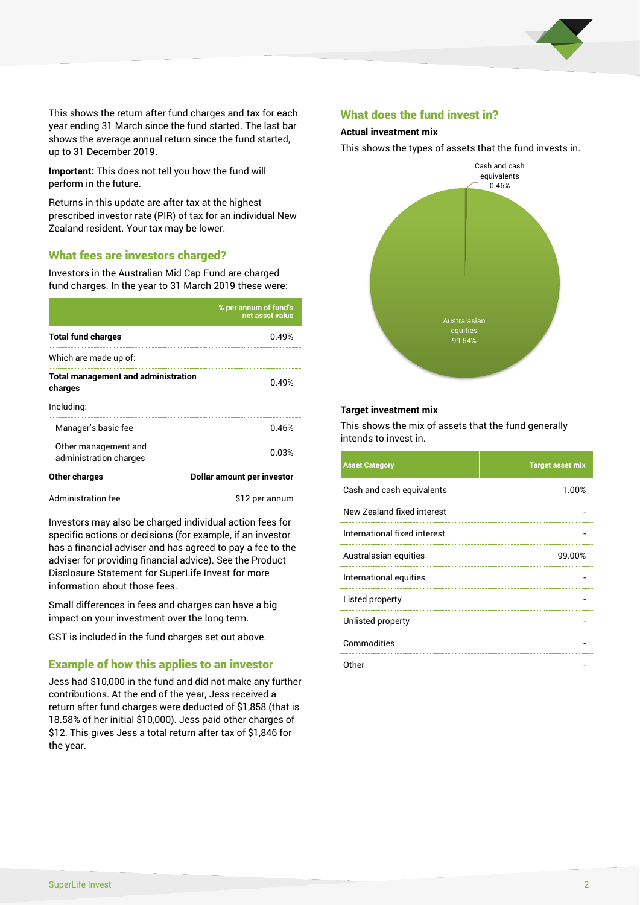

This shows the return after fund charges and tax for each year ending 31 March since the fund started. The last bar shows the average annual return since the fund started, up to 31 December 2019.

**Important:** This does not tell you how the fund will perform in the future.

Returns in this update are after tax at the highest prescribed investor rate (PIR) of tax for an individual New Zealand resident. Your tax may be lower.

#### What fees are investors charged?

Investors in the Australian Mid Cap Fund are charged fund charges. In the year to 31 March 2019 these were:

|                                                       | % per annum of fund's<br>net asset value |  |  |
|-------------------------------------------------------|------------------------------------------|--|--|
| <b>Total fund charges</b>                             | 0.49%                                    |  |  |
| Which are made up of:                                 |                                          |  |  |
| <b>Total management and administration</b><br>charges | 0.49%                                    |  |  |
| Including:                                            |                                          |  |  |
| Manager's basic fee                                   | 0.46%                                    |  |  |
| Other management and<br>administration charges        | 0.03%                                    |  |  |
| Other charges                                         | Dollar amount per investor               |  |  |
| Administration fee                                    | \$12 per annum                           |  |  |

Investors may also be charged individual action fees for specific actions or decisions (for example, if an investor has a financial adviser and has agreed to pay a fee to the adviser for providing financial advice). See the Product Disclosure Statement for SuperLife Invest for more information about those fees.

Small differences in fees and charges can have a big impact on your investment over the long term.

GST is included in the fund charges set out above.

#### Example of how this applies to an investor

Jess had \$10,000 in the fund and did not make any further contributions. At the end of the year, Jess received a return after fund charges were deducted of \$1,858 (that is 18.58% of her initial \$10,000). Jess paid other charges of \$12. This gives Jess a total return after tax of \$1,846 for the year.

#### What does the fund invest in?

#### **Actual investment mix**

This shows the types of assets that the fund invests in.



#### **Target investment mix**

This shows the mix of assets that the fund generally intends to invest in.

| <b>Asset Category</b>        | <b>Target asset mix</b> |
|------------------------------|-------------------------|
| Cash and cash equivalents    | 1.00%                   |
| New Zealand fixed interest   |                         |
| International fixed interest |                         |
| Australasian equities        | 99.00%                  |
| International equities       |                         |
| Listed property              |                         |
| Unlisted property            |                         |
| Commodities                  |                         |
| Other                        |                         |